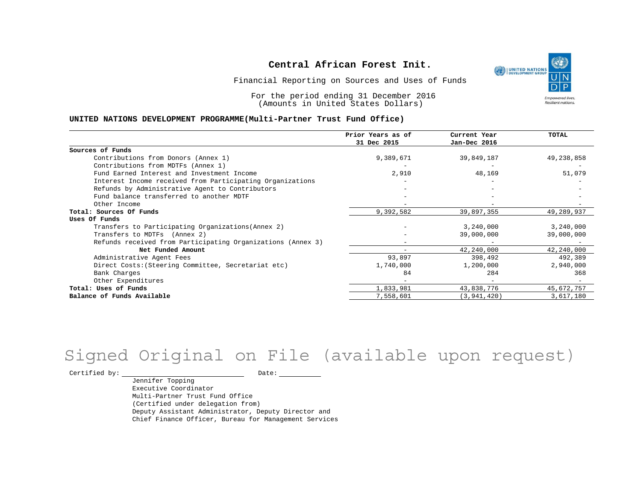

Financial Reporting on Sources and Uses of Funds

For the period ending 31 December 2016 (Amounts in United States Dollars)

#### **UNITED NATIONS DEVELOPMENT PROGRAMME(Multi-Partner Trust Fund Office)**

|                                                             | Prior Years as of<br>31 Dec 2015 | Current Year<br>Jan-Dec 2016 | <b>TOTAL</b> |
|-------------------------------------------------------------|----------------------------------|------------------------------|--------------|
|                                                             |                                  |                              |              |
| Sources of Funds                                            |                                  |                              |              |
| Contributions from Donors (Annex 1)                         | 9,389,671                        | 39,849,187                   | 49,238,858   |
| Contributions from MDTFs (Annex 1)                          |                                  |                              |              |
| Fund Earned Interest and Investment Income                  | 2,910                            | 48,169                       | 51,079       |
| Interest Income received from Participating Organizations   |                                  |                              |              |
| Refunds by Administrative Agent to Contributors             |                                  |                              |              |
| Fund balance transferred to another MDTF                    |                                  |                              |              |
| Other Income                                                |                                  |                              |              |
| Total: Sources Of Funds                                     | 9,392,582                        | 39,897,355                   | 49,289,937   |
| Uses Of Funds                                               |                                  |                              |              |
| Transfers to Participating Organizations (Annex 2)          |                                  | 3,240,000                    | 3,240,000    |
| Transfers to MDTFs (Annex 2)                                |                                  | 39,000,000                   | 39,000,000   |
| Refunds received from Participating Organizations (Annex 3) |                                  |                              |              |
| Net Funded Amount                                           |                                  | 42,240,000                   | 42,240,000   |
| Administrative Agent Fees                                   | 93,897                           | 398,492                      | 492,389      |
| Direct Costs: (Steering Committee, Secretariat etc)         | 1,740,000                        | 1,200,000                    | 2,940,000    |
| Bank Charges                                                | 84                               | 284                          | 368          |
| Other Expenditures                                          |                                  |                              |              |
| Total: Uses of Funds                                        | 1,833,981                        | 43,838,776                   | 45,672,757   |
| Balance of Funds Available                                  | 7,558,601                        | (3, 941, 420)                | 3,617,180    |

## Signed Original on File (available upon request)

Certified by: Date:

Jennifer Topping Executive Coordinator Multi-Partner Trust Fund Office (Certified under delegation from) Deputy Assistant Administrator, Deputy Director and Chief Finance Officer, Bureau for Management Services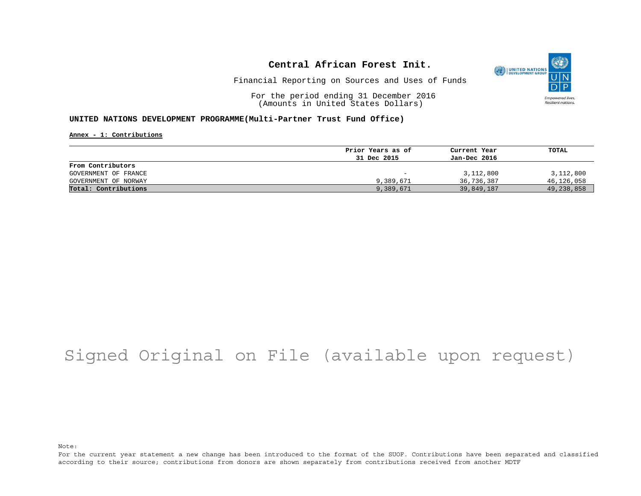

Financial Reporting on Sources and Uses of Funds

For the period ending 31 December 2016 (Amounts in United States Dollars)

#### **UNITED NATIONS DEVELOPMENT PROGRAMME(Multi-Partner Trust Fund Office)**

**Annex - 1: Contributions**

|                      | Prior Years as of | Current Year | TOTAL      |
|----------------------|-------------------|--------------|------------|
|                      | 31 Dec 2015       | Jan-Dec 2016 |            |
| From Contributors    |                   |              |            |
| GOVERNMENT OF FRANCE | -                 | 3,112,800    | 3,112,800  |
| GOVERNMENT OF NORWAY | 9,389,671         | 36,736,387   | 46,126,058 |
| Total: Contributions | 9,389,671         | 39,849,187   | 49,238,858 |

## Signed Original on File (available upon request)

Note:

For the current year statement a new change has been introduced to the format of the SUOF. Contributions have been separated and classified according to their source; contributions from donors are shown separately from contributions received from another MDTF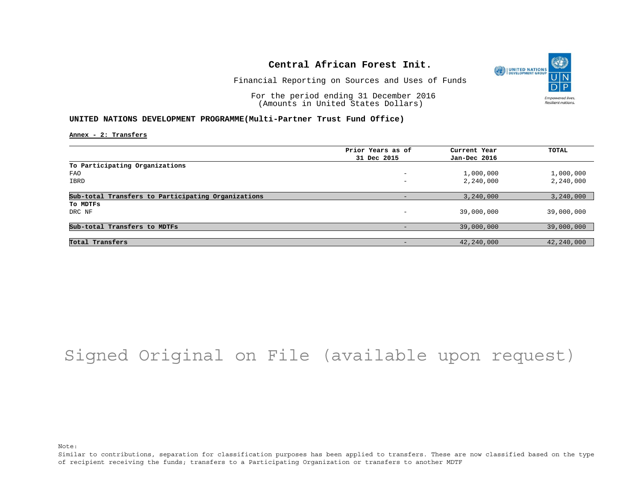

Financial Reporting on Sources and Uses of Funds

For the period ending 31 December 2016 (Amounts in United States Dollars)

#### **UNITED NATIONS DEVELOPMENT PROGRAMME(Multi-Partner Trust Fund Office)**

**Annex - 2: Transfers**

|                                                    | Prior Years as of        | Current Year | TOTAL      |
|----------------------------------------------------|--------------------------|--------------|------------|
|                                                    | 31 Dec 2015              | Jan-Dec 2016 |            |
| To Participating Organizations                     |                          |              |            |
| FAO                                                | -                        | 1,000,000    | 1,000,000  |
| IBRD                                               | $\overline{\phantom{0}}$ | 2,240,000    | 2,240,000  |
| Sub-total Transfers to Participating Organizations |                          | 3,240,000    | 3,240,000  |
| To MDTFs                                           |                          |              |            |
| DRC NF                                             |                          | 39,000,000   | 39,000,000 |
| Sub-total Transfers to MDTFs                       |                          | 39,000,000   | 39,000,000 |
|                                                    |                          |              |            |
| Total Transfers                                    |                          | 42,240,000   | 42,240,000 |

## Signed Original on File (available upon request)

Note:

Similar to contributions, separation for classification purposes has been applied to transfers. These are now classified based on the type of recipient receiving the funds; transfers to a Participating Organization or transfers to another MDTF